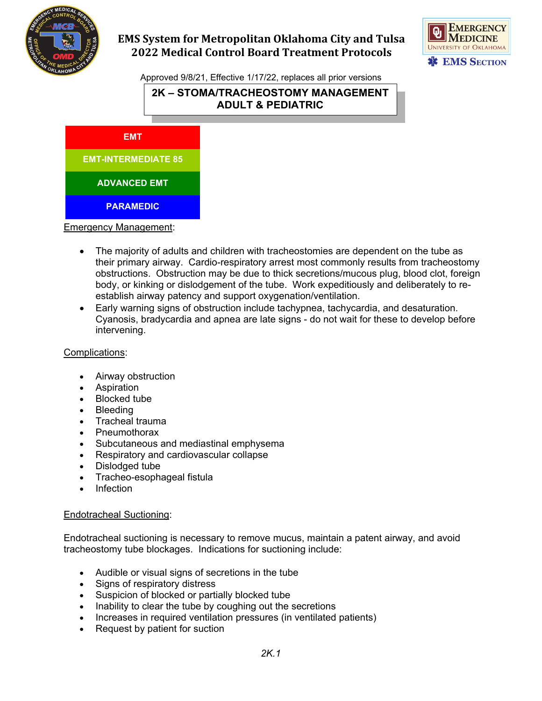

# **EMS System for Metropolitan Oklahoma City and Tulsa 2022 Medical Control Board Treatment Protocols**



Approved 9/8/21, Effective 1/17/22, replaces all prior versions

# **2K – STOMA/TRACHEOSTOMY MANAGEMENT ADULT & PEDIATRIC**

**EMT**

**EMT-INTERMEDIATE 85**

**ADVANCED EMT**

**PARAMEDIC**

Emergency Management:

- The majority of adults and children with tracheostomies are dependent on the tube as their primary airway. Cardio-respiratory arrest most commonly results from tracheostomy obstructions. Obstruction may be due to thick secretions/mucous plug, blood clot, foreign body, or kinking or dislodgement of the tube. Work expeditiously and deliberately to reestablish airway patency and support oxygenation/ventilation.
- Early warning signs of obstruction include tachypnea, tachycardia, and desaturation. Cyanosis, bradycardia and apnea are late signs - do not wait for these to develop before intervening.

#### Complications:

- Airway obstruction
- Aspiration
- Blocked tube
- **Bleeding**
- Tracheal trauma
- Pneumothorax
- Subcutaneous and mediastinal emphysema
- Respiratory and cardiovascular collapse
- Dislodged tube
- Tracheo-esophageal fistula
- Infection

#### Endotracheal Suctioning:

[Endotracheal suctioning](http://www.rch.org.au/rchcpg/index.cfm?doc_id=11064) is necessary to remove mucus, maintain a patent airway, and avoid tracheostomy tube blockages. Indications for suctioning include:

- Audible or visual signs of secretions in the tube
- Signs of respiratory distress
- Suspicion of blocked or partially blocked tube
- Inability to clear the tube by coughing out the secretions
- Increases in required ventilation pressures (in ventilated patients)
- Request by patient for suction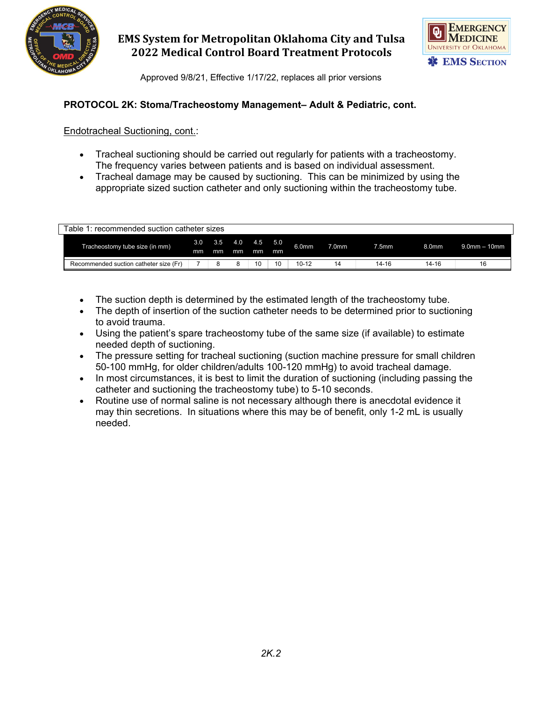

## **EMS System for Metropolitan Oklahoma City and Tulsa 2022 Medical Control Board Treatment Protocols**



Approved 9/8/21, Effective 1/17/22, replaces all prior versions

## **PROTOCOL 2K: Stoma/Tracheostomy Management– Adult & Pediatric, cont.**

Endotracheal Suctioning, cont.:

- [Tracheal suctioning](http://www.rch.org.au/rchcpg/index.cfm?doc_id=11064) should be carried out regularly for patients with a tracheostomy. The frequency varies between patients and is based on individual assessment.
- Tracheal damage may be caused by suctioning. This can be minimized by using the appropriate sized suction catheter and only suctioning within the tracheostomy tube.

| Table 1: recommended suction catheter sizes |           |           |               |    |           |                   |                   |       |                   |                   |  |
|---------------------------------------------|-----------|-----------|---------------|----|-----------|-------------------|-------------------|-------|-------------------|-------------------|--|
| Tracheostomy tube size (in mm)              | 3.0<br>mm | 3.5<br>mm | 4.0 4.5<br>mm | mm | 5.0<br>mm | 6.0 <sub>mm</sub> | 7.0 <sub>mm</sub> | 7.5mm | 8.0 <sub>mm</sub> | $9.0$ mm $-10$ mm |  |
| Recommended suction catheter size (Fr)      |           |           |               | 10 | 10        | $10 - 12$         | 14                | 14-16 | 14-16             | 16                |  |

- The suction depth is determined by the estimated length of the tracheostomy tube.
- The depth of insertion of the suction catheter needs to be determined prior to suctioning to avoid trauma.
- Using the patient's spare tracheostomy tube of the same size (if available) to estimate needed depth of suctioning.
- The pressure setting for tracheal suctioning (suction machine pressure for small children 50-100 mmHg, for older children/adults 100-120 mmHg) to avoid tracheal damage.
- In most circumstances, it is best to limit the duration of suctioning (including passing the catheter and suctioning the tracheostomy tube) to 5-10 seconds.
- Routine use of normal saline is not necessary although there is anecdotal evidence it may thin secretions. In situations where this may be of benefit, only 1-2 mL is usually needed.